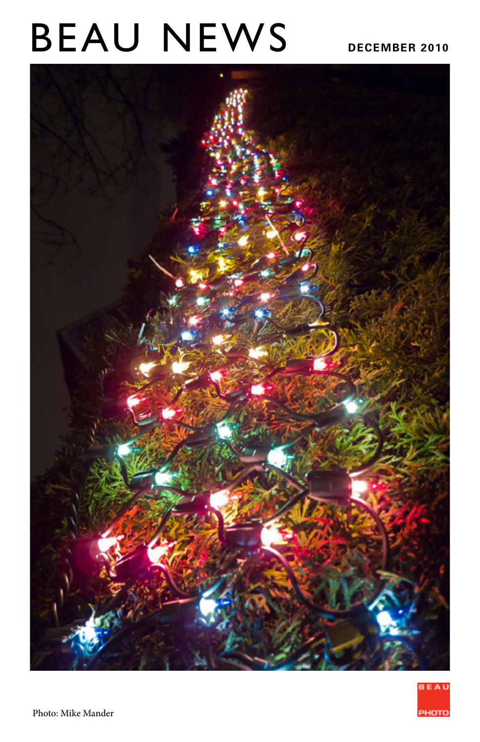# BEAU NEWS DECEMBER 2010



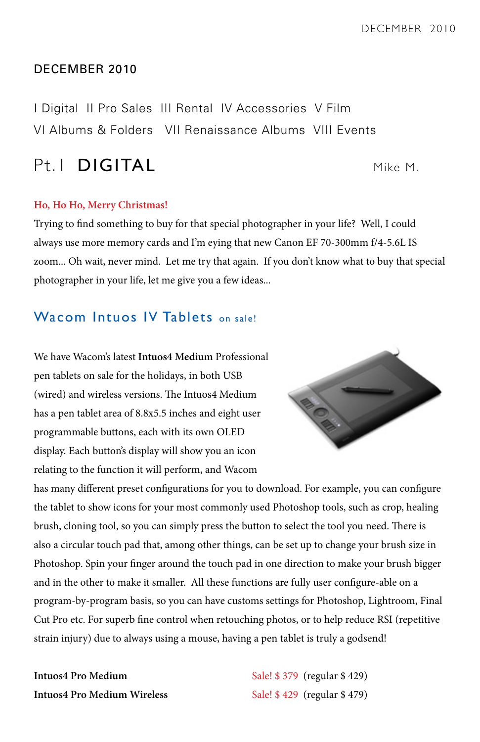#### DECEMBER 2010

I Digital II Pro Sales III Rental IV Accessories V Film VI Albums & Folders VII Renaissance Albums VIII Events

## Pt. I **DIGITAL** Mike M.

#### **Ho, Ho Ho, Merry Christmas!**

Trying to find something to buy for that special photographer in your life? Well, I could always use more memory cards and I'm eying that new Canon EF 70-300mm f/4-5.6L IS zoom... Oh wait, never mind. Let me try that again. If you don't know what to buy that special photographer in your life, let me give you a few ideas...

#### Wacom Intuos IV Tablets on sale!

We have Wacom's latest **Intuos4 Medium** Professional pen tablets on sale for the holidays, in both USB (wired) and wireless versions. The Intuos4 Medium has a pen tablet area of 8.8x5.5 inches and eight user programmable buttons, each with its own OLED display. Each button's display will show you an icon relating to the function it will perform, and Wacom



has many different preset configurations for you to download. For example, you can configure the tablet to show icons for your most commonly used Photoshop tools, such as crop, healing brush, cloning tool, so you can simply press the button to select the tool you need. There is also a circular touch pad that, among other things, can be set up to change your brush size in Photoshop. Spin your finger around the touch pad in one direction to make your brush bigger and in the other to make it smaller. All these functions are fully user configure-able on a program-by-program basis, so you can have customs settings for Photoshop, Lightroom, Final Cut Pro etc. For superb fine control when retouching photos, or to help reduce RSI (repetitive strain injury) due to always using a mouse, having a pen tablet is truly a godsend!

**Intuos4 Pro Medium Wireless** Sale! \$429 (regular \$479)

**Intuos4 Pro Medium** Sale! \$ 379 (regular \$ 429)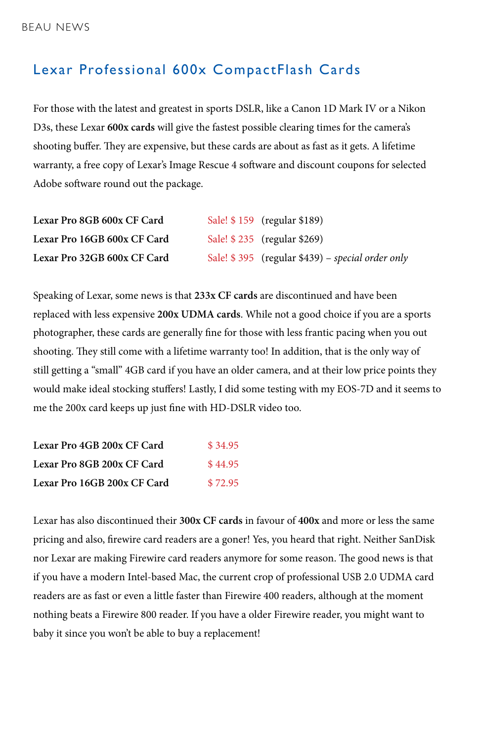### Lexar Professional 600x CompactFlash Cards

For those with the latest and greatest in sports DSLR, like a Canon 1D Mark IV or a Nikon D3s, these Lexar **600x cards** will give the fastest possible clearing times for the camera's shooting buffer. They are expensive, but these cards are about as fast as it gets. A lifetime warranty, a free copy of Lexar's Image Rescue 4 software and discount coupons for selected Adobe software round out the package.

| Lexar Pro 8GB 600x CF Card  | Sale! \$159 (regular \$189)                         |
|-----------------------------|-----------------------------------------------------|
| Lexar Pro 16GB 600x CF Card | Sale! \$235 (regular \$269)                         |
| Lexar Pro 32GB 600x CF Card | Sale! $$395$ (regular $$439$ ) – special order only |

Speaking of Lexar, some news is that **233x CF cards** are discontinued and have been replaced with less expensive **200x UDMA cards**. While not a good choice if you are a sports photographer, these cards are generally fine for those with less frantic pacing when you out shooting. They still come with a lifetime warranty too! In addition, that is the only way of still getting a "small" 4GB card if you have an older camera, and at their low price points they would make ideal stocking stuffers! Lastly, I did some testing with my EOS-7D and it seems to me the 200x card keeps up just fine with HD-DSLR video too.

| Lexar Pro 4GB 200x CF Card  | \$34.95 |
|-----------------------------|---------|
| Lexar Pro 8GB 200x CF Card  | \$44.95 |
| Lexar Pro 16GB 200x CF Card | \$72.95 |

Lexar has also discontinued their **300x CF cards** in favour of **400x** and more or less the same pricing and also, firewire card readers are a goner! Yes, you heard that right. Neither SanDisk nor Lexar are making Firewire card readers anymore for some reason. The good news is that if you have a modern Intel-based Mac, the current crop of professional USB 2.0 UDMA card readers are as fast or even a little faster than Firewire 400 readers, although at the moment nothing beats a Firewire 800 reader. If you have a older Firewire reader, you might want to baby it since you won't be able to buy a replacement!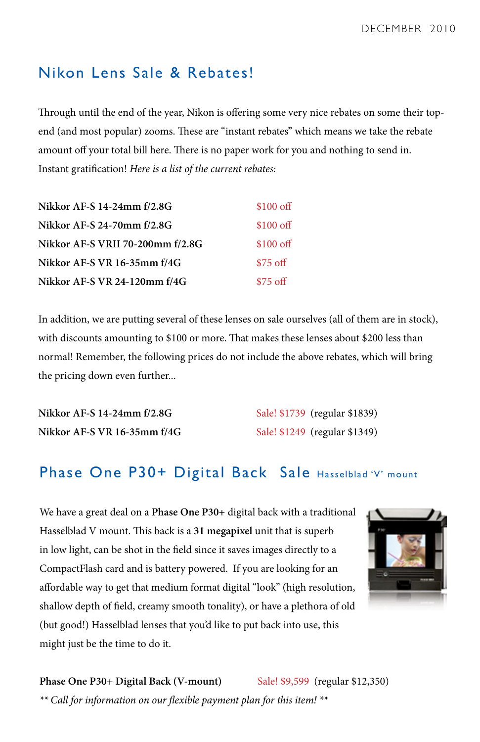## Nikon Lens Sale & Rebates!

Through until the end of the year, Nikon is offering some very nice rebates on some their topend (and most popular) zooms. These are "instant rebates" which means we take the rebate amount off your total bill here. There is no paper work for you and nothing to send in. Instant gratification! *Here is a list of the current rebates:*

| Nikkor AF-S 14-24mm f/2.8G       | $$100 \text{ off}$ |
|----------------------------------|--------------------|
| Nikkor AF-S 24-70mm f/2.8G       | \$100 of           |
| Nikkor AF-S VRII 70-200mm f/2.8G | $$100 \text{ off}$ |
| Nikkor AF-S VR 16-35mm f/4G      | $$75 \text{ off}$  |
| Nikkor AF-S VR 24-120mm f/4G     | $$75 \text{ off}$  |

In addition, we are putting several of these lenses on sale ourselves (all of them are in stock), with discounts amounting to \$100 or more. That makes these lenses about \$200 less than normal! Remember, the following prices do not include the above rebates, which will bring the pricing down even further...

| Nikkor AF-S 14-24mm f/2.8G  | Sale! \$1739 (regular \$1839) |
|-----------------------------|-------------------------------|
| Nikkor AF-S VR 16-35mm f/4G | Sale! \$1249 (regular \$1349) |

## Phase One P30+ Digital Back Sale Hasselblad 'V' mount

We have a great deal on a **Phase One P30+** digital back with a traditional Hasselblad V mount. This back is a **31 megapixel** unit that is superb in low light, can be shot in the field since it saves images directly to a CompactFlash card and is battery powered. If you are looking for an affordable way to get that medium format digital "look" (high resolution, shallow depth of field, creamy smooth tonality), or have a plethora of old (but good!) Hasselblad lenses that you'd like to put back into use, this might just be the time to do it.



**Phase One P30+ Digital Back (V-mount)** Sale! \$9,599 (regular \$12,350) *\*\* Call for information on our flexible payment plan for this item! \*\**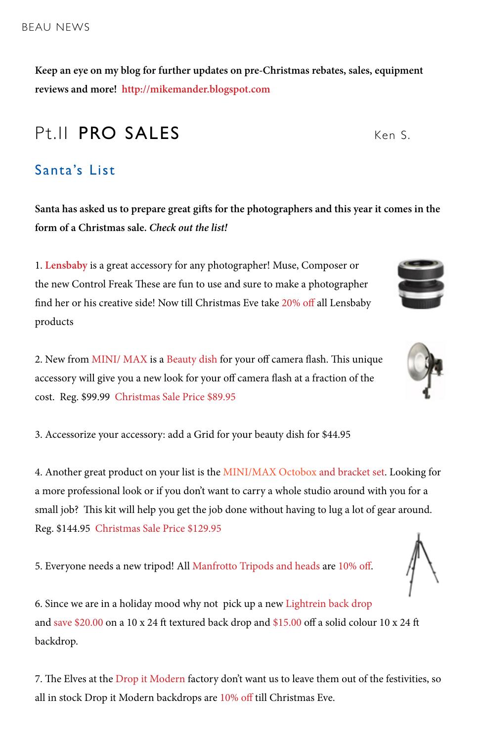**Keep an eye on my blog for further updates on pre-Christmas rebates, sales, equipment reviews and more! http://mikemander.blogspot.com**

## Pt.II PRO SALES Ken S

## Santa's List

**Santa has asked us to prepare great gifts for the photographers and this year it comes in the form of a Christmas sale.** *Check out the list!*

1. **Lensbaby** is a great accessory for any photographer! Muse, Composer or the new Control Freak These are fun to use and sure to make a photographer find her or his creative side! Now till Christmas Eve take 20% off all Lensbaby products

2. New from MINI/ MAX is a Beauty dish for your off camera flash. This unique accessory will give you a new look for your off camera flash at a fraction of the cost. Reg. \$99.99 Christmas Sale Price \$89.95

3. Accessorize your accessory: add a Grid for your beauty dish for \$44.95

4. Another great product on your list is the MINI/MAX Octobox and bracket set. Looking for a more professional look or if you don't want to carry a whole studio around with you for a small job? This kit will help you get the job done without having to lug a lot of gear around. Reg. \$144.95 Christmas Sale Price \$129.95

5. Everyone needs a new tripod! All Manfrotto Tripods and heads are 10% off.

6. Since we are in a holiday mood why not pick up a new Lightrein back drop and save \$20.00 on a 10 x 24 ft textured back drop and \$15.00 off a solid colour 10 x 24 ft backdrop.

7. The Elves at the Drop it Modern factory don't want us to leave them out of the festivities, so all in stock Drop it Modern backdrops are 10% off till Christmas Eve.







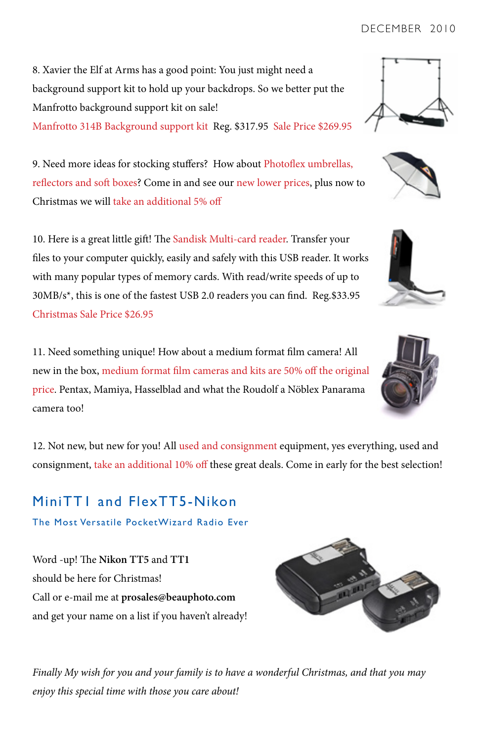DECEMBER 2010

8. Xavier the Elf at Arms has a good point: You just might need a background support kit to hold up your backdrops. So we better put the Manfrotto background support kit on sale! Manfrotto 314B Background support kit Reg. \$317.95 Sale Price \$269.95

9. Need more ideas for stocking stuffers? How about Photoflex umbrellas, reflectors and soft boxes? Come in and see our new lower prices, plus now to Christmas we will take an additional 5% off

10. Here is a great little gift! The Sandisk Multi-card reader. Transfer your files to your computer quickly, easily and safely with this USB reader. It works with many popular types of memory cards. With read/write speeds of up to 30MB/s\*, this is one of the fastest USB 2.0 readers you can find. Reg.\$33.95 Christmas Sale Price \$26.95

11. Need something unique! How about a medium format film camera! All new in the box, medium format film cameras and kits are 50% off the original price. Pentax, Mamiya, Hasselblad and what the Roudolf a Nöblex Panarama camera too!

12. Not new, but new for you! All used and consignment equipment, yes everything, used and consignment, take an additional 10% off these great deals. Come in early for the best selection!

MiniTT1 and FlexTT5-Nikon The Most Versatile PocketWizard Radio Ever

Word -up! The **Nikon TT5** and **TT1**  should be here for Christmas! Call or e-mail me at **prosales@beauphoto.com** and get your name on a list if you haven't already!

*Finally My wish for you and your family is to have a wonderful Christmas, and that you may enjoy this special time with those you care about!*









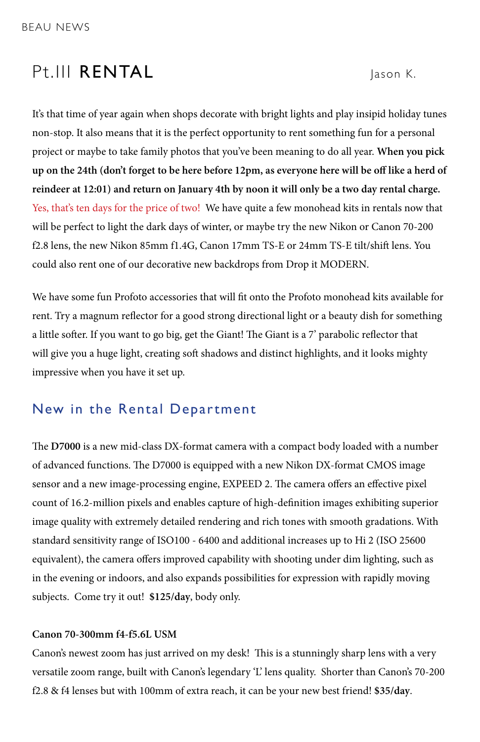## Pt.III RENTAL Jason K.

It's that time of year again when shops decorate with bright lights and play insipid holiday tunes non-stop. It also means that it is the perfect opportunity to rent something fun for a personal project or maybe to take family photos that you've been meaning to do all year. **When you pick up on the 24th (don't forget to be here before 12pm, as everyone here will be off like a herd of reindeer at 12:01) and return on January 4th by noon it will only be a two day rental charge.**  Yes, that's ten days for the price of two! We have quite a few monohead kits in rentals now that will be perfect to light the dark days of winter, or maybe try the new Nikon or Canon 70-200 f2.8 lens, the new Nikon 85mm f1.4G, Canon 17mm TS-E or 24mm TS-E tilt/shift lens. You could also rent one of our decorative new backdrops from Drop it MODERN.

We have some fun Profoto accessories that will fit onto the Profoto monohead kits available for rent. Try a magnum reflector for a good strong directional light or a beauty dish for something a little softer. If you want to go big, get the Giant! The Giant is a 7' parabolic reflector that will give you a huge light, creating soft shadows and distinct highlights, and it looks mighty impressive when you have it set up.

#### New in the Rental Department

The **D7000** is a new mid-class DX-format camera with a compact body loaded with a number of advanced functions. The D7000 is equipped with a new Nikon DX-format CMOS image sensor and a new image-processing engine, EXPEED 2. The camera offers an effective pixel count of 16.2-million pixels and enables capture of high-definition images exhibiting superior image quality with extremely detailed rendering and rich tones with smooth gradations. With standard sensitivity range of ISO100 - 6400 and additional increases up to Hi 2 (ISO 25600 equivalent), the camera offers improved capability with shooting under dim lighting, such as in the evening or indoors, and also expands possibilities for expression with rapidly moving subjects. Come try it out! **\$125/day**, body only.

#### **Canon 70-300mm f4-f5.6L USM**

Canon's newest zoom has just arrived on my desk! This is a stunningly sharp lens with a very versatile zoom range, built with Canon's legendary 'L' lens quality. Shorter than Canon's 70-200 f2.8 & f4 lenses but with 100mm of extra reach, it can be your new best friend! **\$35/day**.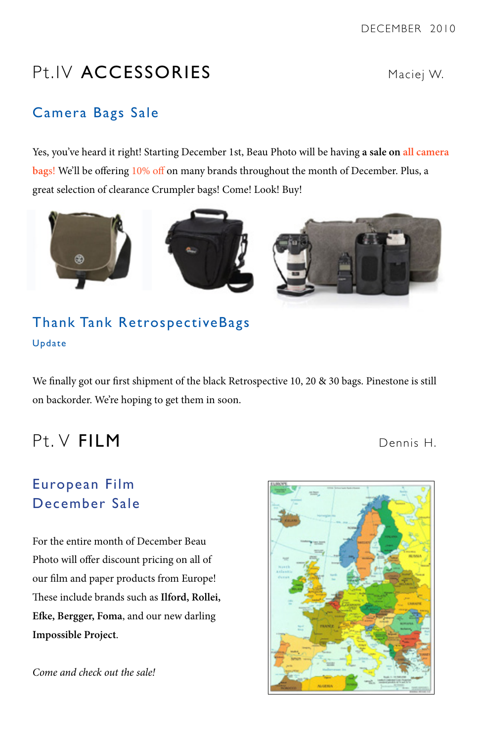DECEMBER 2010

## Pt.IV ACCESSORIES Maciej W.

## Camera Bags Sale

Yes, you've heard it right! Starting December 1st, Beau Photo will be having **a sale on all camera bag**s! We'll be offering 10% off on many brands throughout the month of December. Plus, a great selection of clearance Crumpler bags! Come! Look! Buy!



## Thank Tank RetrospectiveBags Update

We finally got our first shipment of the black Retrospective 10, 20 & 30 bags. Pinestone is still on backorder. We're hoping to get them in soon.

## Pt. V FILM Dennis H.

## European Film December Sale

For the entire month of December Beau Photo will offer discount pricing on all of our film and paper products from Europe! These include brands such as **Ilford, Rollei, Efke, Bergger, Foma**, and our new darling **Impossible Project**.

*Come and check out the sale!*

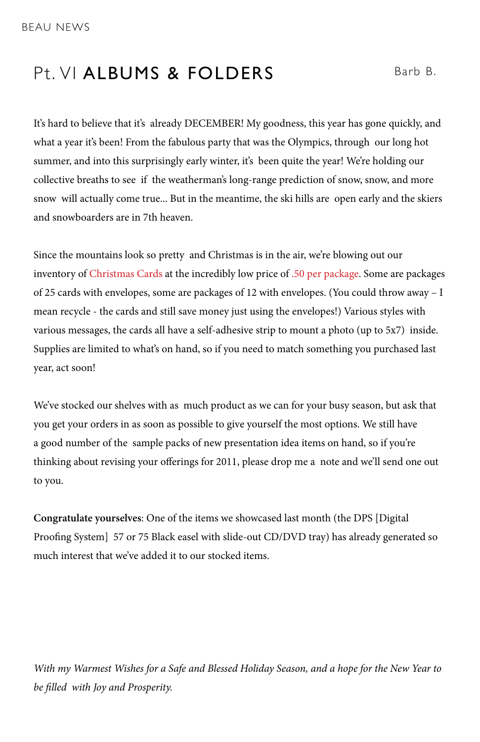## Pt. VI ALBUMS & FOLDERS Barb B.

It's hard to believe that it's already DECEMBER! My goodness, this year has gone quickly, and what a year it's been! From the fabulous party that was the Olympics, through our long hot summer, and into this surprisingly early winter, it's been quite the year! We're holding our collective breaths to see if the weatherman's long-range prediction of snow, snow, and more snow will actually come true... But in the meantime, the ski hills are open early and the skiers and snowboarders are in 7th heaven.

Since the mountains look so pretty and Christmas is in the air, we're blowing out our inventory of Christmas Cards at the incredibly low price of .50 per package. Some are packages of 25 cards with envelopes, some are packages of 12 with envelopes. (You could throw away – I mean recycle - the cards and still save money just using the envelopes!) Various styles with various messages, the cards all have a self-adhesive strip to mount a photo (up to 5x7) inside. Supplies are limited to what's on hand, so if you need to match something you purchased last year, act soon!

We've stocked our shelves with as much product as we can for your busy season, but ask that you get your orders in as soon as possible to give yourself the most options. We still have a good number of the sample packs of new presentation idea items on hand, so if you're thinking about revising your offerings for 2011, please drop me a note and we'll send one out to you.

**Congratulate yourselves**: One of the items we showcased last month (the DPS [Digital Proofing System] 57 or 75 Black easel with slide-out CD/DVD tray) has already generated so much interest that we've added it to our stocked items.

*With my Warmest Wishes for a Safe and Blessed Holiday Season, and a hope for the New Year to be filled with Joy and Prosperity.*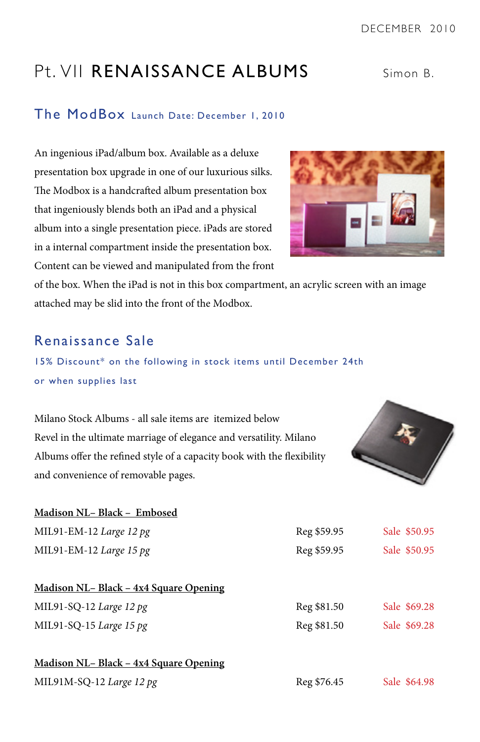## Pt. VII RENAISSANCE ALBUMS Simon B.

#### The ModBox Launch Date: December 1, 2010

An ingenious iPad/album box. Available as a deluxe presentation box upgrade in one of our luxurious silks. The Modbox is a handcrafted album presentation box that ingeniously blends both an iPad and a physical album into a single presentation piece. iPads are stored in a internal compartment inside the presentation box. Content can be viewed and manipulated from the front



of the box. When the iPad is not in this box compartment, an acrylic screen with an image attached may be slid into the front of the Modbox.

### Renaissance Sale

#### 15% Discount\* on the following in stock items until December 24th or when supplies last

Milano Stock Albums - all sale items are itemized below Revel in the ultimate marriage of elegance and versatility. Milano Albums offer the refined style of a capacity book with the flexibility and convenience of removable pages.



| Madison NL- Black - Embosed            |             |              |
|----------------------------------------|-------------|--------------|
| MIL91-EM-12 Large 12 $pg$              | Reg \$59.95 | Sale \$50.95 |
| MIL91-EM-12 Large 15 $pg$              | Reg \$59.95 | Sale \$50.95 |
| Madison NL- Black - 4x4 Square Opening |             |              |
| MIL91-SQ-12 Large 12 pg                | Reg \$81.50 | Sale \$69.28 |
| MIL91-SQ-15 Large 15 pg                | Reg \$81.50 | Sale \$69.28 |
| Madison NL- Black - 4x4 Square Opening |             |              |
| MIL91M-SQ-12 Large 12 pg               | Reg \$76.45 | Sale \$64.98 |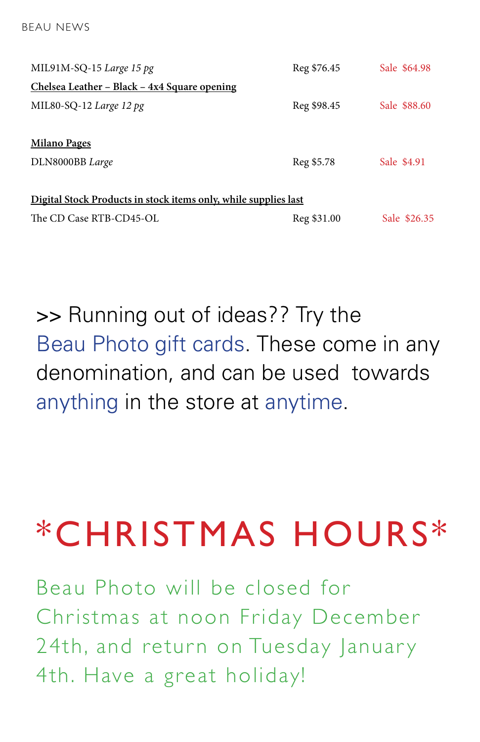| MIL $91M-SQ-15$ Large 15 pg                                     | Reg \$76.45 | Sale \$64.98 |
|-----------------------------------------------------------------|-------------|--------------|
| Chelsea Leather – Black – 4x4 Square opening                    |             |              |
| MIL80-SQ-12 Large 12 pg                                         | Reg \$98.45 | Sale \$88.60 |
| <b>Milano Pages</b>                                             |             |              |
| DLN8000BB Large                                                 | Reg \$5.78  | Sale \$4.91  |
| Digital Stock Products in stock items only, while supplies last |             |              |
| The CD Case RTB-CD45-OL                                         | Reg \$31.00 | Sale \$26.35 |

>> Running out of ideas?? Try the Beau Photo gift cards. These come in any denomination, and can be used towards anything in the store at anytime.

## \*CHRISTMAS HOURS\*

Beau Photo will be closed for Christmas at noon Friday December 24th, and return on Tuesday January 4th. Have a great holiday!